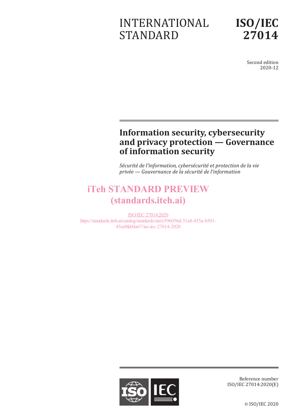# INTERNATIONAL STANDARD



Second edition 2020-12

## **Information security, cybersecurity and privacy protection — Governance of information security**

*Sécurité de l'information, cybersécurité et protection de la vie privée — Gouvernance de la sécurité de l'information*

# iTeh STANDARD PREVIEW (standards.iteh.ai)

ISO/IEC 27014:2020 https://standards.iteh.ai/catalog/standards/sist/e596056d-51a4-435a-b501- 45ee0fa04a67/iso-iec-27014-2020



Reference number ISO/IEC 27014:2020(E)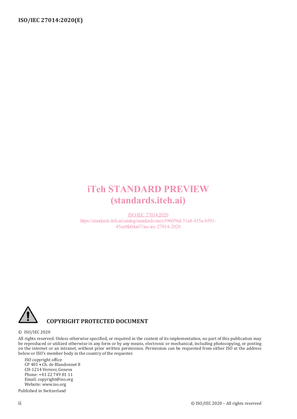# iTeh STANDARD PREVIEW (standards.iteh.ai)

ISO/IEC 27014:2020 https://standards.iteh.ai/catalog/standards/sist/e596056d-51a4-435a-b501- 45ee0fa04a67/iso-iec-27014-2020



#### **COPYRIGHT PROTECTED DOCUMENT**

#### © ISO/IEC 2020

All rights reserved. Unless otherwise specified, or required in the context of its implementation, no part of this publication may be reproduced or utilized otherwise in any form or by any means, electronic or mechanical, including photocopying, or posting on the internet or an intranet, without prior written permission. Permission can be requested from either ISO at the address below or ISO's member body in the country of the requester.

ISO copyright office CP 401 • Ch. de Blandonnet 8 CH-1214 Vernier, Geneva Phone: +41 22 749 01 11 Email: copyright@iso.org Website: www.iso.org

Published in Switzerland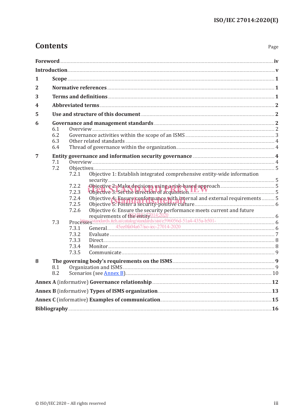## **Contents**

| 1 |                                                                                                          |                                                                                                                                                                                                                                |  |  |
|---|----------------------------------------------------------------------------------------------------------|--------------------------------------------------------------------------------------------------------------------------------------------------------------------------------------------------------------------------------|--|--|
| 2 |                                                                                                          |                                                                                                                                                                                                                                |  |  |
| 3 |                                                                                                          |                                                                                                                                                                                                                                |  |  |
| 4 |                                                                                                          | Abbreviated terms 2000 and 2000 and 2000 and 2000 and 2000 and 2000 and 2000 and 2000 and 2000 and 2000 and 2000 and 2000 and 2000 and 2000 and 2000 and 2000 and 2000 and 2000 and 2000 and 2000 and 2000 and 2000 and 2000 a |  |  |
| 5 |                                                                                                          | Use and structure of this document <b>Election Community</b> 2                                                                                                                                                                 |  |  |
| 6 | Governance and management standards <b>Exercise According to the Covernance and management standards</b> |                                                                                                                                                                                                                                |  |  |
|   | 6.1<br>6.2<br>6.3                                                                                        |                                                                                                                                                                                                                                |  |  |
|   |                                                                                                          |                                                                                                                                                                                                                                |  |  |
|   |                                                                                                          |                                                                                                                                                                                                                                |  |  |
|   | 6.4                                                                                                      |                                                                                                                                                                                                                                |  |  |
| 7 |                                                                                                          |                                                                                                                                                                                                                                |  |  |
|   | 7.1<br>7.2                                                                                               |                                                                                                                                                                                                                                |  |  |
|   |                                                                                                          | Objective 1: Establish integrated comprehensive entity-wide information<br>7.2.1                                                                                                                                               |  |  |
|   |                                                                                                          |                                                                                                                                                                                                                                |  |  |
|   |                                                                                                          | 7.2.2                                                                                                                                                                                                                          |  |  |
|   |                                                                                                          | Objective 3: Set the direction of acquisition. LE W MARIE 1999 S. 5<br>7.2.3                                                                                                                                                   |  |  |
|   |                                                                                                          | Objective 4: Ensure conformance with internal and external requirements  5<br>7.2.4<br>7.2.5                                                                                                                                   |  |  |
|   |                                                                                                          | Objective 6: Ensure the security performance meets current and future<br>7.2.6                                                                                                                                                 |  |  |
|   |                                                                                                          | requirements of the Fritz 014:2020<br>Frocesse Standards.itch.ai/catalog/standards/sist/e596056d-51a4-435a-b501-                                                                                                               |  |  |
|   | 7.3                                                                                                      |                                                                                                                                                                                                                                |  |  |
|   |                                                                                                          | General 45ee0fa04a67/iso-iec-27014-2020<br>7.3.1<br>7.3.2                                                                                                                                                                      |  |  |
|   |                                                                                                          | 7.3.3                                                                                                                                                                                                                          |  |  |
|   |                                                                                                          | 7.3.4                                                                                                                                                                                                                          |  |  |
|   |                                                                                                          | 7.3.5                                                                                                                                                                                                                          |  |  |
| 8 |                                                                                                          |                                                                                                                                                                                                                                |  |  |
|   | 8.1                                                                                                      |                                                                                                                                                                                                                                |  |  |
|   | 8.2                                                                                                      |                                                                                                                                                                                                                                |  |  |
|   | Annex A (informative) Governance relationship <b>Electionship 2016</b> 2017 12                           |                                                                                                                                                                                                                                |  |  |
|   |                                                                                                          |                                                                                                                                                                                                                                |  |  |
|   |                                                                                                          |                                                                                                                                                                                                                                |  |  |
|   |                                                                                                          |                                                                                                                                                                                                                                |  |  |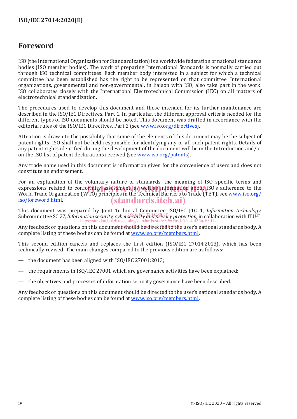## **Foreword**

ISO (the International Organization for Standardization) is a worldwide federation of national standards bodies (ISO member bodies). The work of preparing International Standards is normally carried out through ISO technical committees. Each member body interested in a subject for which a technical committee has been established has the right to be represented on that committee. International organizations, governmental and non-governmental, in liaison with ISO, also take part in the work. ISO collaborates closely with the International Electrotechnical Commission (IEC) on all matters of electrotechnical standardization.

The procedures used to develop this document and those intended for its further maintenance are described in the ISO/IEC Directives, Part 1. In particular, the different approval criteria needed for the different types of ISO documents should be noted. This document was drafted in accordance with the editorial rules of the ISO/IEC Directives, Part 2 (see www.iso.org/directives).

Attention is drawn to the possibility that some of the elements of this document may be the subject of patent rights. ISO shall not be held responsible for identifying any or all such patent rights. Details of any patent rights identified during the development of the document will be in the Introduction and/or on the ISO list of patent declarations received (see www.iso.org/patents).

Any trade name used in this document is information given for the convenience of users and does not constitute an endorsement.

For an explanation of the voluntary nature of standards, the meaning of ISO specific terms and expressions related to conformity assessment, as well as information about ISO's adherence to the<br>World Trade Organization (WTO) principles in the Technical Barriers to Trade (TBT), see www.iso.org/ World Trade Organization (WTO) principles in the Technical Barriers to Trade (TBT), see www.iso.org/ iso/foreword.html. (standards.iteh.ai)

This document was prepared by Joint Technical Committee ISO/IEC JTC 1, *Information technology*, Subcommittee SC 27, *Information security, cybersecurity and privacy protection*, in collaboration with ITU-T. https://standards.i

Any feedback or questions on this document should be directed to the user's national standards body. A complete listing of these bodies can be found at www.iso.org/members.html.

This second edition cancels and replaces the first edition (ISO/IEC 27014:2013), which has been technically revised. The main changes compared to the previous edition are as follows:

- the document has been aligned with ISO/IEC 27001:2013;
- the requirements in ISO/IEC 27001 which are governance activities have been explained;
- the objectives and processes of information security governance have been described.

Any feedback or questions on this document should be directed to the user's national standards body. A complete listing of these bodies can be found at www.iso.org/members.html.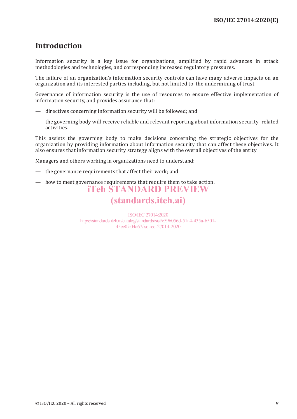### **Introduction**

Information security is a key issue for organizations, amplified by rapid advances in attack methodologies and technologies, and corresponding increased regulatory pressures.

The failure of an organization's information security controls can have many adverse impacts on an organization and its interested parties including, but not limited to, the undermining of trust.

Governance of information security is the use of resources to ensure effective implementation of information security, and provides assurance that:

- directives concerning information security will be followed; and
- the governing body will receive reliable and relevant reporting about information security–related activities.

This assists the governing body to make decisions concerning the strategic objectives for the organization by providing information about information security that can affect these objectives. It also ensures that information security strategy aligns with the overall objectives of the entity.

Managers and others working in organizations need to understand:

- the governance requirements that affect their work; and
- how to meet governance requirements that require them to take action.

iTeh STANDARD PREVIEW

## (standards.iteh.ai)

ISO/IEC 27014:2020 https://standards.iteh.ai/catalog/standards/sist/e596056d-51a4-435a-b501- 45ee0fa04a67/iso-iec-27014-2020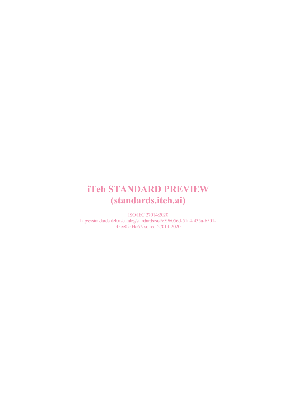# iTeh STANDARD PREVIEW (standards.iteh.ai)

ISO/IEC 27014:2020 https://standards.iteh.ai/catalog/standards/sist/e596056d-51a4-435a-b501- 45ee0fa04a67/iso-iec-27014-2020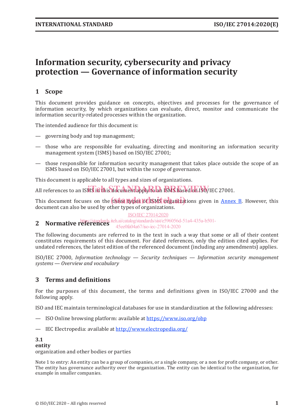## **Information security, cybersecurity and privacy protection — Governance of information security**

#### **1 Scope**

This document provides guidance on concepts, objectives and processes for the governance of information security, by which organizations can evaluate, direct, monitor and communicate the information security-related processes within the organization.

The intended audience for this document is:

- governing body and top management;
- those who are responsible for evaluating, directing and monitoring an information security management system (ISMS) based on ISO/IEC 27001;
- those responsible for information security management that takes place outside the scope of an ISMS based on ISO/IEC 27001, but within the scope of governance.

This document is applicable to all types and sizes of organizations.

All references to an ISMS if this document apply to an ISMS based on ISO/IEC 27001.

This document focuses on the **three types of ISMS organizations** given in <u>Annex B</u>. However, this document can also be used by other types of organizations.

**2 Normative references** *Aseofficialog/standards/sist/e596056d-51a4-435a-b501-*ISO/IEC 27014:2020 45ee0fa04a67/iso-iec-27014-2020

The following documents are referred to in the text in such a way that some or all of their content constitutes requirements of this document. For dated references, only the edition cited applies. For undated references, the latest edition of the referenced document (including any amendments) applies.

ISO/IEC 27000, *Information technology — Security techniques — Information security management systems — Overview and vocabulary*

#### **3 Terms and definitions**

For the purposes of this document, the terms and definitions given in ISO/IEC 27000 and the following apply.

ISO and IEC maintain terminological databases for use in standardization at the following addresses:

- ISO Online browsing platform: available at https://www.iso.org/obp
- IEC Electropedia: available at http://www.electropedia.org/

### **3.1**

### **entity**

organization and other bodies or parties

Note 1 to entry: An entity can be a group of companies, or a single company, or a non for profit company, or other. The entity has governance authority over the organization. The entity can be identical to the organization, for example in smaller companies.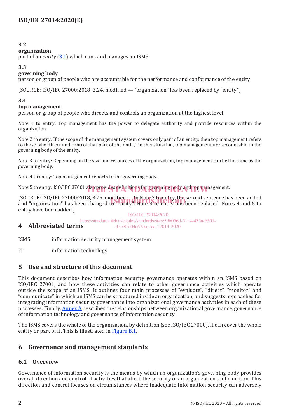#### **3.2**

#### **organization**

part of an *entity* (3.1) which runs and manages an ISMS

#### **3.3**

#### **governing body**

person or group of people who are accountable for the performance and conformance of the entity

[SOURCE: ISO/IEC 27000:2018, 3.24, modified — "organization" has been replaced by "entity"]

#### **3.4**

#### **top management**

person or group of people who directs and controls an organization at the highest level

Note 1 to entry: Top management has the power to delegate authority and provide resources within the organization.

Note 2 to entry: If the scope of the management system covers only part of an entity, then top management refers to those who direct and control that part of the entity. In this situation, top management are accountable to the governing body of the entity.

Note 3 to entry: Depending on the size and resources of the organization, top management can be the same as the governing body.

Note 4 to entry: Top management reports to the governing body.

Note 5 to entry: ISO/IEC 37001 also provides definitions for governing body and top management.

[SOURCE: ISO/IEC 27000:2018, 3.75, modified — In Note 2 to entry, the second sentence has been added [SOURCE: ISO/IEC 27000:2018, 3.75, modified — In Note 2 to entry, the second sentence has been added<br>and "organization" has been changed to "entity". Note 3 to entry has been replaced. Notes 4 and 5 to entry have been added.]

ISO/IEC 27014:2020 https://standards.iteh.ai/catalog/standards/sist/e596056d-51a4-435a-b501- 45ee0fa04a67/iso-iec-27014-2020

### **4 Abbreviated terms**

ISMS information security management system

IT information technology

#### **5 Use and structure of this document**

This document describes how information security governance operates within an ISMS based on ISO/IEC 27001, and how these activities can relate to other governance activities which operate outside the scope of an ISMS. It outlines four main processes of "evaluate", "direct", "monitor" and "communicate" in which an ISMS can be structured inside an organization, and suggests approaches for integrating information security governance into organizational governance activities in each of these processes. Finally, Annex A describes the relationships between organizational governance, governance of information technology and governance of information security.

The ISMS covers the whole of the organization, by definition (see ISO/IEC 27000). It can cover the whole entity or part of it. This is illustrated in Figure B.1.

#### **6 Governance and management standards**

#### **6.1 Overview**

Governance of information security is the means by which an organization's governing body provides overall direction and control of activities that affect the security of an organization's information. This direction and control focuses on circumstances where inadequate information security can adversely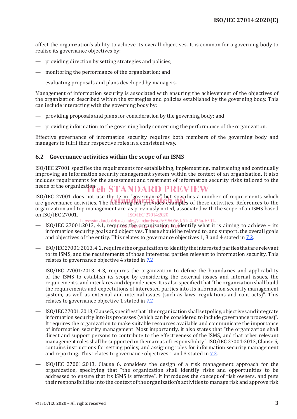affect the organization's ability to achieve its overall objectives. It is common for a governing body to realise its governance objectives by:

- providing direction by setting strategies and policies;
- monitoring the performance of the organization; and
- evaluating proposals and plans developed by managers.

Management of information security is associated with ensuring the achievement of the objectives of the organization described within the strategies and policies established by the governing body. This can include interacting with the governing body by:

- providing proposals and plans for consideration by the governing body; and
- providing information to the governing body concerning the performance of the organization.

Effective governance of information security requires both members of the governing body and managers to fulfil their respective roles in a consistent way.

#### **6.2 Governance activities within the scope of an ISMS**

ISO/IEC 27001 specifies the requirements for establishing, implementing, maintaining and continually improving an information security management system within the context of an organization. It also includes requirements for the assessment and treatment of information security risks tailored to the needs of the organization. **Channon STANDARD PREVIEW** 

ISO/IEC 27001 does not use the term "governance" but specifies a number of requirements which ISO/IEC 27001 does not use the term "governance" but specifies a number of requirements which<br>are governance activities. The following list provides examples of these activities. References to the organization and top management are, as previously noted, associated with the scope of an ISMS based on ISO/IEC 27001. ISO/IEC 27014:2020

- $-$  ISO/IEC 27001:2013, 4.1, requires the organization to identify what it is aiming to achieve its information security goals and objectives. These should be related to, and support, the overall goals and objectives of the entity. This relates to governance objectives 1, 3 and 4 stated in 7.2. https://standards.iteh.ai/catalog/standards/sist/e596056d-51a4-435a-b501-
- ISO/IEC27001:2013, 4.2, requires the organization to identify the interested parties that are relevant to its ISMS, and the requirements of those interested parties relevant to information security. This relates to governance objective 4 stated in 7.2.
- ISO/IEC 27001:2013, 4.3, requires the organization to define the boundaries and applicability of the ISMS to establish its scope by considering the external issues and internal issues, the requirements, and interfaces and dependencies. It is also specified that "the organization shall build the requirements and expectations of interested parties into its information security management system, as well as external and internal issues (such as laws, regulations and contracts)". This relates to governance objective 1 stated in 7.2.
- ISO/IEC27001:2013, Clause5, specifies that "the organization shall set policy, objectives and integrate information security into its processes (which can be considered to include governance processes)". It requires the organization to make suitable resources available and communicate the importance of information security management. Most importantly, it also states that "the organization shall direct and support persons to contribute to the effectiveness of the ISMS, and that other relevant management roles shall be supported in their areas of responsibility". ISO/IEC 27001:2013, Clause 5, contains instructions for setting policy, and assigning roles for information security management and reporting. This relates to governance objectives 1 and 3 stated in 7.2.
- ISO/IEC 27001:2013, Clause 6, considers the design of a risk management approach for the organization, specifying that "the organization shall identify risks and opportunities to be addressed to ensure that its ISMS is effective". It introduces the concept of risk owners, and puts their responsibilities into the context of the organization's activities to manage risk and approve risk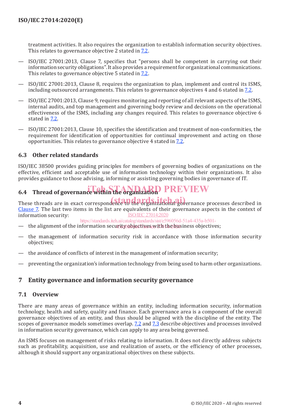treatment activities. It also requires the organization to establish information security objectives. This relates to governance objective 2 stated in  $7.2$ .

- ISO/IEC 27001:2013, Clause 7, specifies that "persons shall be competent in carrying out their information security obligations". It also provides a requirement for organizational communications. This relates to governance objective 5 stated in 7.2.
- ISO/IEC 27001:2013, Clause 8, requires the organization to plan, implement and control its ISMS, including outsourced arrangements. This relates to governance objectives 4 and 6 stated in 7.2.
- ISO/IEC 27001:2013, Clause 9, requires monitoring and reporting of all relevant aspects of the ISMS, internal audits, and top management and governing body review and decisions on the operational effectiveness of the ISMS, including any changes required. This relates to governance objective 6 stated in 7.2.
- ISO/IEC 27001:2013, Clause 10, specifies the identification and treatment of non-conformities, the requirement for identification of opportunities for continual improvement and acting on those opportunities. This relates to governance objective 4 stated in 7.2.

#### **6.3 Other related standards**

ISO/IEC 38500 provides guiding principles for members of governing bodies of organizations on the effective, efficient and acceptable use of information technology within their organizations. It also provides guidance to those advising, informing or assisting governing bodies in governance of IT.

# **6.4** Thread of governance within the organization PREVIEW

These threads are in exact correspondence to the organizational governance processes described in Clause 7. The last two items in the list are equivalents of their governance aspects in the context of information security: ISO/IEC 27014:2020

- https://standards.iteh.ai/catalog/standards/sist/e596056d-51a4-435a-b501-
- $-$  the alignment of the information security objectives with the business objectives;
- the management of information security risk in accordance with those information security objectives;
- the avoidance of conflicts of interest in the management of information security;
- preventing the organization's information technology from being used to harm other organizations.

#### **7 Entity governance and information security governance**

#### **7.1 Overview**

There are many areas of governance within an entity, including information security, information technology, health and safety, quality and finance. Each governance area is a component of the overall governance objectives of an entity, and thus should be aligned with the discipline of the entity. The scopes of governance models sometimes overlap. 7.2 and 7.3 describe objectives and processes involved in information security governance, which can apply to any area being governed.

An ISMS focuses on management of risks relating to information. It does not directly address subjects such as profitability, acquisition, use and realization of assets, or the efficiency of other processes, although it should support any organizational objectives on these subjects.